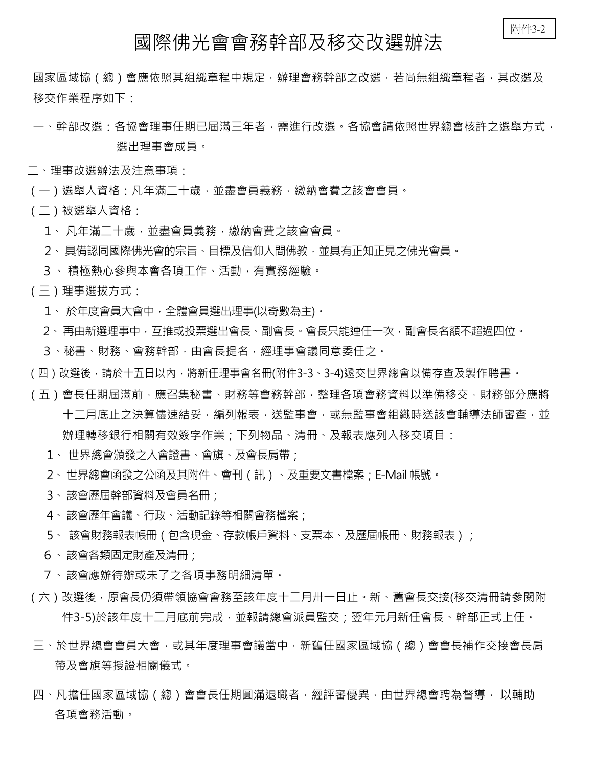## 附件3-2

## 國際佛光會會務幹部及移交改選辦法

國家區域協(總)會應依照其組織章程中規定,辦理會務幹部之改選,若尚無組織章程者,其改選及 移交作業程序如下:

- 一、幹部改選:各協會理事任期已屆滿三年者,需進行改選。各協會請依照世界總會核許之選舉方式, 選出理事會成員。
- 二、理事改選辦法及注意事項:
- (一)選舉人資格:凡年滿二十歲,並盡會員義務,繳納會費之該會會員。
- (二)被選舉人資格:
	- 1、 凡年滿二十歳, 並盡會員義務, 繳納會費之該會會員。
	- 2、具備認同國際佛光會的宗旨、目標及信仰人間佛教,並具有正知正見之佛光會員。
	- 3、 積極熱心參與本會各項工作、活動,有實務經驗。
- (三)理事選拔方式:
	- 1、 於年度會員大會中,全體會員選出理事(以奇數為主)。
	- 2、再由新選理事中,互推或投票選出會長、副會長。會長只能連任一次,副會長名額不超過四位。
	- 3、秘書、財務、會務幹部,由會長提名,經理事會議同意委任之。
- ( 四 ) 改選後,請於十五日以內,將新任理事會名冊(附件3-3、3-4)遞交世界總會以備存查及製作聘書。
- (五)會長任期屆滿前,應召集秘書、財務等會務幹部,整理各項會務資料以準備移交,財務部分應將 十二月底止之決算儘速結妥,編列報表,送監事會,或無監事會組織時送該會輔導法師審查,並 辦理轉移銀行相關有效簽字作業;下列物品、清冊、及報表應列入移交項目:
	- 1、 世界總會頒發之入會證書、會旗、及會長肩帶;
	- 2、世界總會函發之公函及其附件、會刊(訊)、及重要文書檔案;E-Mail 帳號。
	- 3、該會歷屆幹部資料及會員名冊;
	- 4、該會歷年會議、行政、活動記錄等相關會務檔案;
	- 5、 該會財務報表帳冊 ( 包含現金、存款帳戶資料、支票本、及歷屆帳冊、財務報表 ) ;
	- 6、該會各類固定財產及清冊;
	- 7、該會應辦待辦或未了之各項事務明細清單。
- (六)改選後,原會長仍須帶領協會會務至該年度十二月卅一日止。新、舊會長交接(移交清冊請參閱附 件3-5)於該年度十二月底前完成,並報請總會派員監交;翌年元月新任會長、幹部正式上任。
- 三、於世界總會會員大會,或其年度理事會議當中,新舊任國家區域協(總)會會長補作交接會長肩 帶及會旗等授證相關儀式。
- 四、凡擔任國家區域協(總)會會長任期圓滿退職者,經評審優異,由世界總會聘為督導, 以輔助 各項會務活動。